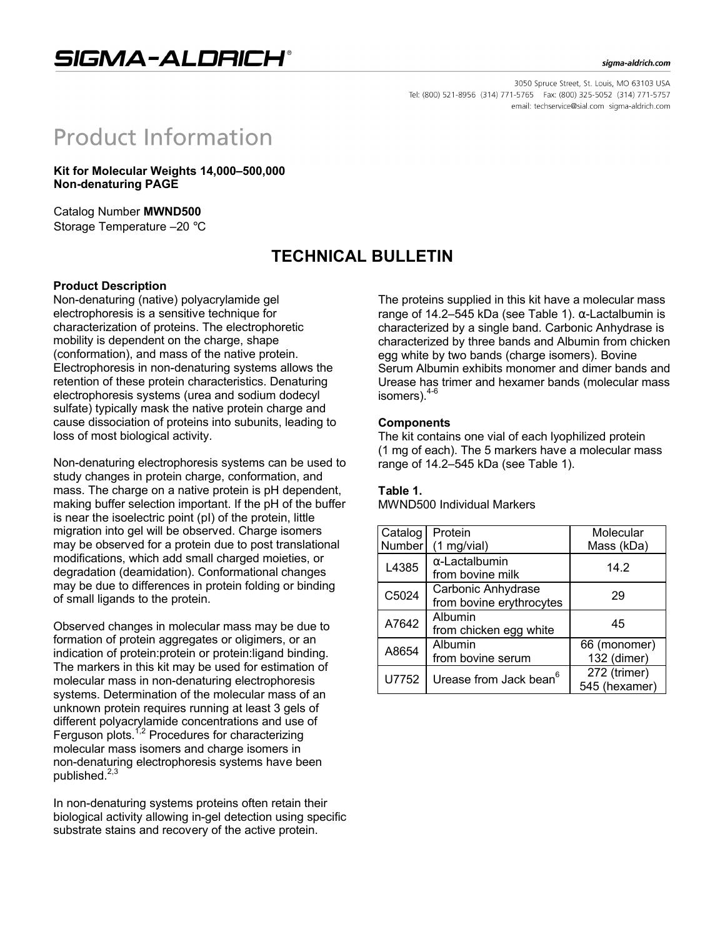## SIGMA-ALDRICH®

#### sigma-aldrich.com

3050 Spruce Street, St. Louis, MO 63103 USA Tel: (800) 521-8956 (314) 771-5765 Fax: (800) 325-5052 (314) 771-5757 email: techservice@sial.com sigma-aldrich.com

# **Product Information**

**Kit for Molecular Weights 14,000–500,000 Non-denaturing PAGE**

Catalog Number **MWND500** Storage Temperature –20 °C

## **TECHNICAL BULLETIN**

#### **Product Description**

Non-denaturing (native) polyacrylamide gel electrophoresis is a sensitive technique for characterization of proteins. The electrophoretic mobility is dependent on the charge, shape (conformation), and mass of the native protein. Electrophoresis in non-denaturing systems allows the retention of these protein characteristics. Denaturing electrophoresis systems (urea and sodium dodecyl sulfate) typically mask the native protein charge and cause dissociation of proteins into subunits, leading to loss of most biological activity.

Non-denaturing electrophoresis systems can be used to study changes in protein charge, conformation, and mass. The charge on a native protein is pH dependent. making buffer selection important. If the pH of the buffer is near the isoelectric point (pI) of the protein, little migration into gel will be observed. Charge isomers may be observed for a protein due to post translational modifications, which add small charged moieties, or degradation (deamidation). Conformational changes may be due to differences in protein folding or binding of small ligands to the protein.

Observed changes in molecular mass may be due to formation of protein aggregates or oligimers, or an indication of protein:protein or protein:ligand binding. The markers in this kit may be used for estimation of molecular mass in non-denaturing electrophoresis systems. Determination of the molecular mass of an unknown protein requires running at least 3 gels of different polyacrylamide concentrations and use of Ferguson plots.<sup> $1,2$ </sup> Procedures for characterizing molecular mass isomers and charge isomers in non-denaturing electrophoresis systems have been published. $^{2,3}$ 

In non-denaturing systems proteins often retain their biological activity allowing in-gel detection using specific substrate stains and recovery of the active protein.

The proteins supplied in this kit have a molecular mass range of 14.2–545 kDa (see Table 1). α-Lactalbumin is characterized by a single band. Carbonic Anhydrase is characterized by three bands and Albumin from chicken egg white by two bands (charge isomers). Bovine Serum Albumin exhibits monomer and dimer bands and Urease has trimer and hexamer bands (molecular mass isomers).<sup>4</sup>

#### **Components**

The kit contains one vial of each lyophilized protein (1 mg of each). The 5 markers have a molecular mass range of 14.2–545 kDa (see Table 1).

#### **Table 1.**

MWND500 Individual Markers

| Catalog<br>Number | Protein<br>$(1 \text{ mg/vial})$               | Molecular<br>Mass (kDa)   |
|-------------------|------------------------------------------------|---------------------------|
| L4385             | $\alpha$ -Lactalbumin<br>from bovine milk      | 14.2                      |
| C5024             | Carbonic Anhydrase<br>from bovine erythrocytes | 29                        |
| A7642             | Albumin<br>from chicken egg white              | 45                        |
| A8654             | Albumin                                        | 66 (monomer)              |
|                   | from bovine serum                              | 132 (dimer)               |
| U7752             | Urease from Jack bean <sup>6</sup>             | $\overline{272}$ (trimer) |
|                   |                                                | 545 (hexamer)             |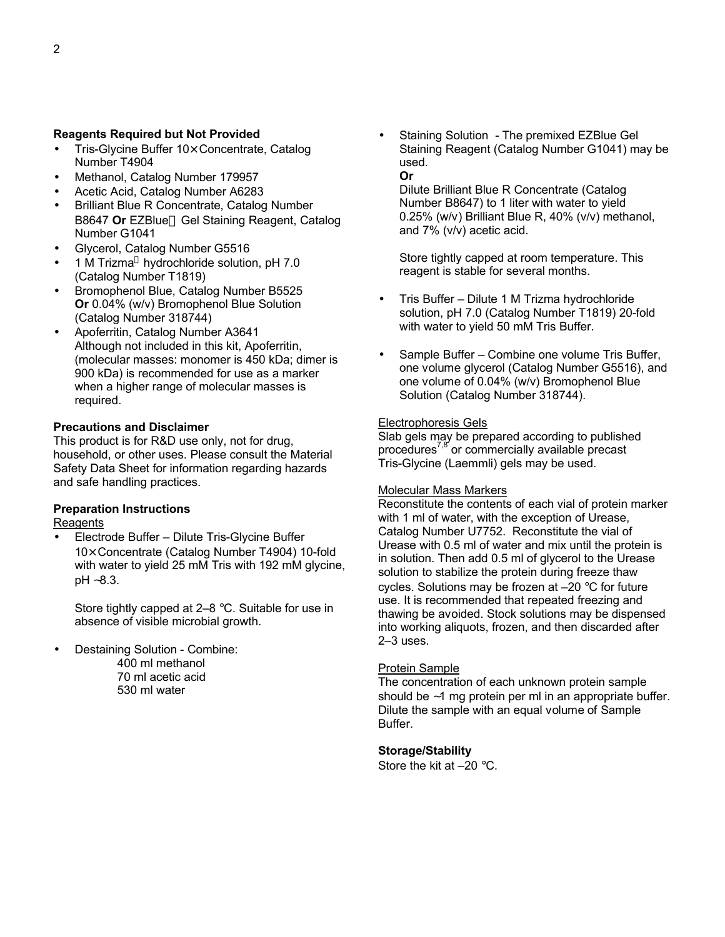#### **Reagents Required but Not Provided**

- Tris-Glycine Buffer 10× Concentrate, Catalog Number T4904
- Methanol, Catalog Number 179957
- Acetic Acid, Catalog Number A6283
- Brilliant Blue R Concentrate, Catalog Number B8647 Or EZBlue<sup>™</sup> Gel Staining Reagent, Catalog Number G1041
- Glycerol, Catalog Number G5516
- 1 M Trizma® hydrochloride solution, pH 7.0 (Catalog Number T1819)
- Bromophenol Blue, Catalog Number B5525 **Or** 0.04% (w/v) Bromophenol Blue Solution (Catalog Number 318744)
- Apoferritin, Catalog Number A3641 Although not included in this kit, Apoferritin, (molecular masses: monomer is 450 kDa; dimer is 900 kDa) is recommended for use as a marker when a higher range of molecular masses is required.

#### **Precautions and Disclaimer**

This product is for R&D use only, not for drug, household, or other uses. Please consult the Material Safety Data Sheet for information regarding hazards and safe handling practices.

## **Preparation Instructions**

### **Reagents**

• Electrode Buffer – Dilute Tris-Glycine Buffer 10× Concentrate (Catalog Number T4904) 10-fold with water to yield 25 mM Tris with 192 mM glycine, pH ∼8.3.

Store tightly capped at 2–8 °C. Suitable for use in absence of visible microbial growth.

- Destaining Solution Combine:
	- 400 ml methanol 70 ml acetic acid 530 ml water

• Staining Solution - The premixed EZBlue Gel Staining Reagent (Catalog Number G1041) may be used. **Or**

Dilute Brilliant Blue R Concentrate (Catalog Number B8647) to 1 liter with water to yield 0.25% (w/v) Brilliant Blue R, 40% (v/v) methanol, and 7% (v/v) acetic acid.

Store tightly capped at room temperature. This reagent is stable for several months.

- Tris Buffer Dilute 1 M Trizma hydrochloride solution, pH 7.0 (Catalog Number T1819) 20-fold with water to yield 50 mM Tris Buffer.
- Sample Buffer Combine one volume Tris Buffer, one volume glycerol (Catalog Number G5516), and one volume of 0.04% (w/v) Bromophenol Blue Solution (Catalog Number 318744).

#### Electrophoresis Gels

Slab gels may be prepared according to published procedures<sup>7,8</sup> or commercially available precast Tris-Glycine (Laemmli) gels may be used.

#### Molecular Mass Markers

Reconstitute the contents of each vial of protein marker with 1 ml of water, with the exception of Urease, Catalog Number U7752. Reconstitute the vial of Urease with 0.5 ml of water and mix until the protein is in solution. Then add 0.5 ml of glycerol to the Urease solution to stabilize the protein during freeze thaw cycles. Solutions may be frozen at –20 °C for future use. It is recommended that repeated freezing and thawing be avoided. Stock solutions may be dispensed into working aliquots, frozen, and then discarded after 2–3 uses.

#### Protein Sample

The concentration of each unknown protein sample should be ∼1 mg protein per ml in an appropriate buffer. Dilute the sample with an equal volume of Sample Buffer.

#### **Storage/Stability**

Store the kit at –20 °C.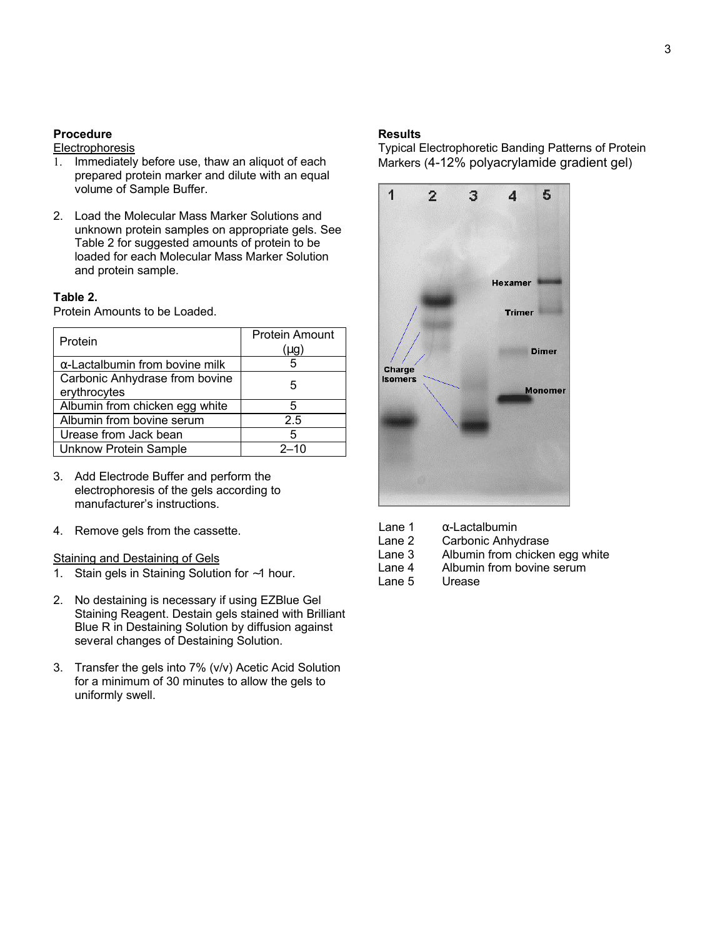#### **Procedure**

#### **Electrophoresis**

- 1. Immediately before use, thaw an aliquot of each prepared protein marker and dilute with an equal volume of Sample Buffer.
- 2. Load the Molecular Mass Marker Solutions and unknown protein samples on appropriate gels. See Table 2 for suggested amounts of protein to be loaded for each Molecular Mass Marker Solution and protein sample.

#### **Table 2.**

Protein Amounts to be Loaded.

| Protein                                | <b>Protein Amount</b> |
|----------------------------------------|-----------------------|
|                                        | (µg)                  |
| $\alpha$ -Lactalbumin from bovine milk |                       |
| Carbonic Anhydrase from bovine         | 5                     |
| erythrocytes                           |                       |
| Albumin from chicken egg white         | 5                     |
| Albumin from bovine serum              | 2.5                   |
| Urease from Jack bean                  | 5                     |
| <b>Unknow Protein Sample</b>           | $2 - 10$              |

- 3. Add Electrode Buffer and perform the electrophoresis of the gels according to manufacturer's instructions.
- 4. Remove gels from the cassette.

#### Staining and Destaining of Gels

- 1. Stain gels in Staining Solution for ∼1 hour.
- 2. No destaining is necessary if using EZBlue Gel Staining Reagent. Destain gels stained with Brilliant Blue R in Destaining Solution by diffusion against several changes of Destaining Solution.
- 3. Transfer the gels into 7% (v/v) Acetic Acid Solution for a minimum of 30 minutes to allow the gels to uniformly swell.

#### **Results**

Typical Electrophoretic Banding Patterns of Protein Markers (4-12% polyacrylamide gradient gel)



- Lane 1  $\alpha$ -Lactalbumin
- Lane 2 Carbonic Anhydrase<br>Lane 3 Albumin from chicker
- Lane 3 Albumin from chicken egg white<br>Lane 4 Albumin from bovine serum
- Albumin from bovine serum
- Lane 5 Urease